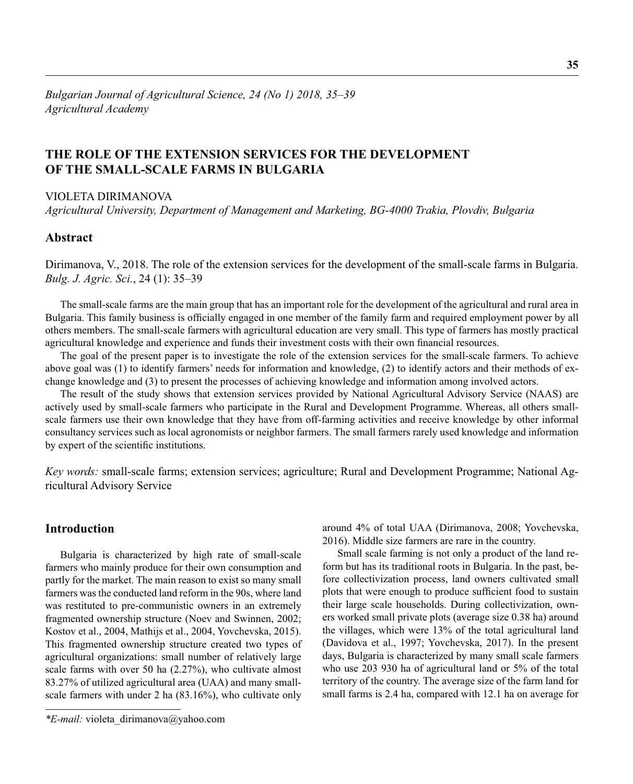# **THE ROLE OF THE EXTENSION SERVICES FOR THE DEVELOPMENT OF THE SMALL-SCALE FARMS IN BULGARIA**

#### VIOLETA DIRIMANOVA

*Agricultural University, Department of Management and Marketing, BG-4000 Trakia, Plovdiv, Bulgaria*

## **Abstract**

Dirimanova, V., 2018. The role of the extension services for the development of the small-scale farms in Bulgaria. *Bulg. J. Agric. Sci.*, 24 (1): 35–39

The small-scale farms are the main group that has an important role for the development of the agricultural and rural area in Bulgaria. This family business is officially engaged in one member of the family farm and required employment power by all others members. The small-scale farmers with agricultural education are very small. This type of farmers has mostly practical agricultural knowledge and experience and funds their investment costs with their own financial resources.

The goal of the present paper is to investigate the role of the extension services for the small-scale farmers. To achieve above goal was (1) to identify farmers' needs for information and knowledge, (2) to identify actors and their methods of exchange knowledge and (3) to present the processes of achieving knowledge and information among involved actors.

The result of the study shows that extension services provided by National Agricultural Advisory Service (NAAS) are actively used by small-scale farmers who participate in the Rural and Development Programme. Whereas, all others smallscale farmers use their own knowledge that they have from off-farming activities and receive knowledge by other informal consultancy services such as local agronomists or neighbor farmers. The small farmers rarely used knowledge and information by expert of the scientific institutions.

*Key words:* small-scale farms; extension services; agriculture; Rural and Development Programme; National Agricultural Advisory Service

## **Introduction**

Bulgaria is characterized by high rate of small-scale farmers who mainly produce for their own consumption and partly for the market. The main reason to exist so many small farmers was the conducted land reform in the 90s, where land was restituted to pre-communistic owners in an extremely fragmented ownership structure (Noev and Swinnen, 2002; Kostov et al., 2004, Mathijs et al., 2004, Yovchevska, 2015). This fragmented ownership structure created two types of agricultural organizations: small number of relatively large scale farms with over 50 ha (2.27%), who cultivate almost 83.27% of utilized agricultural area (UAA) and many smallscale farmers with under 2 ha (83.16%), who cultivate only

around 4% of total UAA (Dirimanova, 2008; Yovchevska, 2016). Middle size farmers are rare in the country.

Small scale farming is not only a product of the land reform but has its traditional roots in Bulgaria. In the past, before collectivization process, land owners cultivated small plots that were enough to produce sufficient food to sustain their large scale households. During collectivization, owners worked small private plots (average size 0.38 ha) around the villages, which were 13% of the total agricultural land (Davidova et al., 1997; Yovchevska, 2017). In the present days, Bulgaria is characterized by many small scale farmers who use 203 930 ha of agricultural land or 5% of the total territory of the country. The average size of the farm land for small farms is 2.4 ha, compared with 12.1 ha on average for

*<sup>\*</sup>E-mail:* violeta\_dirimanova@yahoo.com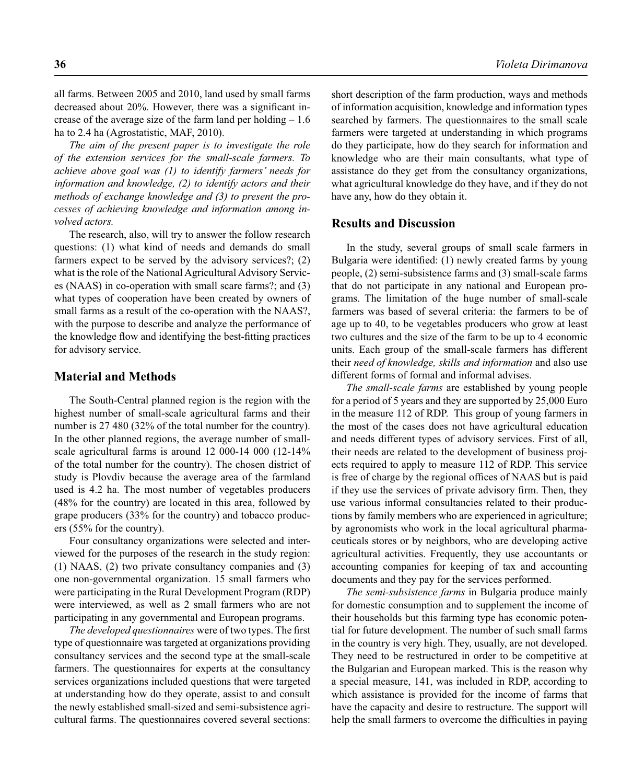all farms. Between 2005 and 2010, land used by small farms decreased about  $20\%$ . However, there was a significant increase of the average size of the farm land per holding  $-1.6$ ha to 2.4 ha (Agrostatistic, MAF, 2010).

*The aim of the present paper is to investigate the role of the extension services for the small-scale farmers. To achieve above goal was (1) to identify farmers' needs for information and knowledge, (2) to identify actors and their methods of exchange knowledge and (3) to present the processes of achieving knowledge and information among involved actors.* 

The research, also, will try to answer the follow research questions: (1) what kind of needs and demands do small farmers expect to be served by the advisory services?; (2) what is the role of the National Agricultural Advisory Services (NAAS) in co-operation with small scare farms?; and (3) what types of cooperation have been created by owners of small farms as a result of the co-operation with the NAAS?, with the purpose to describe and analyze the performance of the knowledge flow and identifying the best-fitting practices for advisory service.

#### **Material and Methods**

The South-Central planned region is the region with the highest number of small-scale agricultural farms and their number is 27 480 (32% of the total number for the country). In the other planned regions, the average number of smallscale agricultural farms is around 12 000-14 000 (12-14% of the total number for the country). The chosen district of study is Plovdiv because the average area of the farmland used is 4.2 ha. The most number of vegetables producers (48% for the country) are located in this area, followed by grape producers (33% for the country) and tobacco producers (55% for the country).

Four consultancy organizations were selected and interviewed for the purposes of the research in the study region: (1) NAAS, (2) two private consultancy companies and (3) one non-governmental organization. 15 small farmers who were participating in the Rural Development Program (RDP) were interviewed, as well as 2 small farmers who are not participating in any governmental and European programs.

*The developed questionnaires* were of two types. The first type of questionnaire was targeted at organizations providing consultancy services and the second type at the small-scale farmers. The questionnaires for experts at the consultancy services organizations included questions that were targeted at understanding how do they operate, assist to and consult the newly established small-sized and semi-subsistence agricultural farms. The questionnaires covered several sections: short description of the farm production, ways and methods of information acquisition, knowledge and information types searched by farmers. The questionnaires to the small scale farmers were targeted at understanding in which programs do they participate, how do they search for information and knowledge who are their main consultants, what type of assistance do they get from the consultancy organizations, what agricultural knowledge do they have, and if they do not have any, how do they obtain it.

### **Results and Discussion**

In the study, several groups of small scale farmers in Bulgaria were identified: (1) newly created farms by young people, (2) semi-subsistence farms and (3) small-scale farms that do not participate in any national and European programs. The limitation of the huge number of small-scale farmers was based of several criteria: the farmers to be of age up to 40, to be vegetables producers who grow at least two cultures and the size of the farm to be up to 4 economic units. Each group of the small-scale farmers has different their *need of knowledge, skills and information* and also use different forms of formal and informal advises.

*The small-scale farms* are established by young people for a period of 5 years and they are supported by 25,000 Euro in the measure 112 of RDP. This group of young farmers in the most of the cases does not have agricultural education and needs different types of advisory services. First of all, their needs are related to the development of business projects required to apply to measure 112 of RDP. This service is free of charge by the regional offices of NAAS but is paid if they use the services of private advisory firm. Then, they use various informal consultancies related to their productions by family members who are experienced in agriculture; by agronomists who work in the local agricultural pharmaceuticals stores or by neighbors, who are developing active agricultural activities. Frequently, they use accountants or accounting companies for keeping of tax and accounting documents and they pay for the services performed.

*The semi-subsistence farms* in Bulgaria produce mainly for domestic consumption and to supplement the income of their households but this farming type has economic potential for future development. The number of such small farms in the country is very high. They, usually, are not developed. They need to be restructured in order to be competitive at the Bulgarian and European marked. This is the reason why a special measure, 141, was included in RDP, according to which assistance is provided for the income of farms that have the capacity and desire to restructure. The support will help the small farmers to overcome the difficulties in paying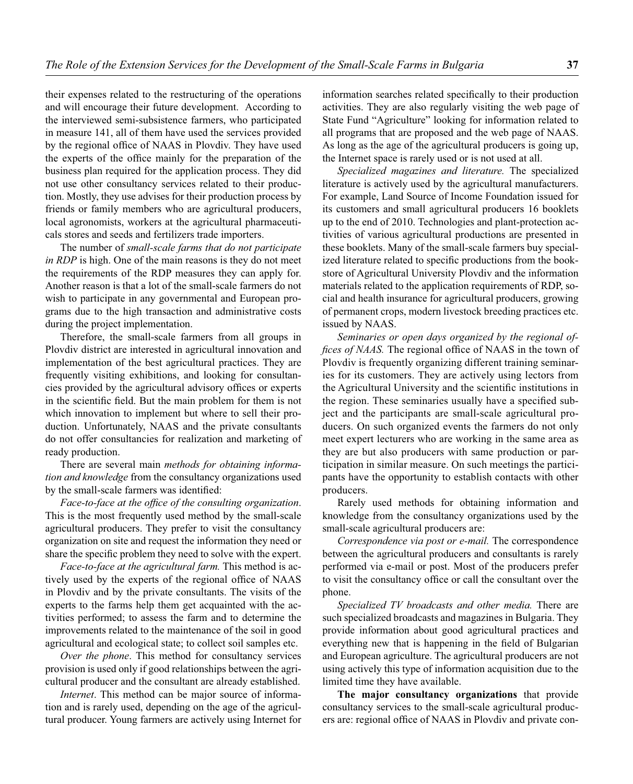their expenses related to the restructuring of the operations and will encourage their future development.According to the interviewed semi-subsistence farmers, who participated in measure 141, all of them have used the services provided by the regional office of NAAS in Plovdiv. They have used the experts of the office mainly for the preparation of the business plan required for the application process. They did not use other consultancy services related to their production. Mostly, they use advises for their production process by friends or family members who are agricultural producers, local agronomists, workers at the agricultural pharmaceuticals stores and seeds and fertilizers trade importers.

The number of *small-scale farms that do not participate in RDP* is high. One of the main reasons is they do not meet the requirements of the RDP measures they can apply for. Another reason is that a lot of the small-scale farmers do not wish to participate in any governmental and European programs due to the high transaction and administrative costs during the project implementation.

Therefore, the small-scale farmers from all groups in Plovdiv district are interested in agricultural innovation and implementation of the best agricultural practices. They are frequently visiting exhibitions, and looking for consultancies provided by the agricultural advisory offices or experts in the scientific field. But the main problem for them is not which innovation to implement but where to sell their production. Unfortunately, NAAS and the private consultants do not offer consultancies for realization and marketing of ready production.

There are several main *methods for obtaining information and knowledge* from the consultancy organizations used by the small-scale farmers was identified:

Face-to-face at the office of the consulting organization. This is the most frequently used method by the small-scale agricultural producers. They prefer to visit the consultancy organization on site and request the information they need or share the specific problem they need to solve with the expert.

*Face-to-face at the agricultural farm.* This method is actively used by the experts of the regional office of NAAS in Plovdiv and by the private consultants. The visits of the experts to the farms help them get acquainted with the activities performed; to assess the farm and to determine the improvements related to the maintenance of the soil in good agricultural and ecological state; to collect soil samples etc.

*Over the phone*. This method for consultancy services provision is used only if good relationships between the agricultural producer and the consultant are already established.

*Internet*. This method can be major source of information and is rarely used, depending on the age of the agricultural producer. Young farmers are actively using Internet for information searches related specifically to their production activities. They are also regularly visiting the web page of State Fund "Agriculture" looking for information related to all programs that are proposed and the web page of NAAS. As long as the age of the agricultural producers is going up, the Internet space is rarely used or is not used at all.

*Specialized magazines and literature.* The specialized literature is actively used by the agricultural manufacturers. For example, Land Source of Income Foundation issued for its customers and small agricultural producers 16 booklets up to the end of 2010. Technologies and plant-protection activities of various agricultural productions are presented in these booklets. Many of the small-scale farmers buy specialized literature related to specific productions from the bookstore of Agricultural University Plovdiv and the information materials related to the application requirements of RDP, social and health insurance for agricultural producers, growing of permanent crops, modern livestock breeding practices etc. issued by NAAS.

*Seminaries or open days organized by the regional offices of NAAS*. The regional office of NAAS in the town of Plovdiv is frequently organizing different training seminaries for its customers. They are actively using lectors from the Agricultural University and the scientific institutions in the region. These seminaries usually have a specified subject and the participants are small-scale agricultural producers. On such organized events the farmers do not only meet expert lecturers who are working in the same area as they are but also producers with same production or participation in similar measure. On such meetings the participants have the opportunity to establish contacts with other producers.

Rarely used methods for obtaining information and knowledge from the consultancy organizations used by the small-scale agricultural producers are:

*Correspondence via post or e-mail.* The correspondence between the agricultural producers and consultants is rarely performed via e-mail or post. Most of the producers prefer to visit the consultancy office or call the consultant over the phone.

*Specialized TV broadcasts and other media.* There are such specialized broadcasts and magazines in Bulgaria. They provide information about good agricultural practices and everything new that is happening in the field of Bulgarian and European agriculture. The agricultural producers are not using actively this type of information acquisition due to the limited time they have available.

**The major consultancy organizations** that provide consultancy services to the small-scale agricultural producers are: regional office of NAAS in Plovdiv and private con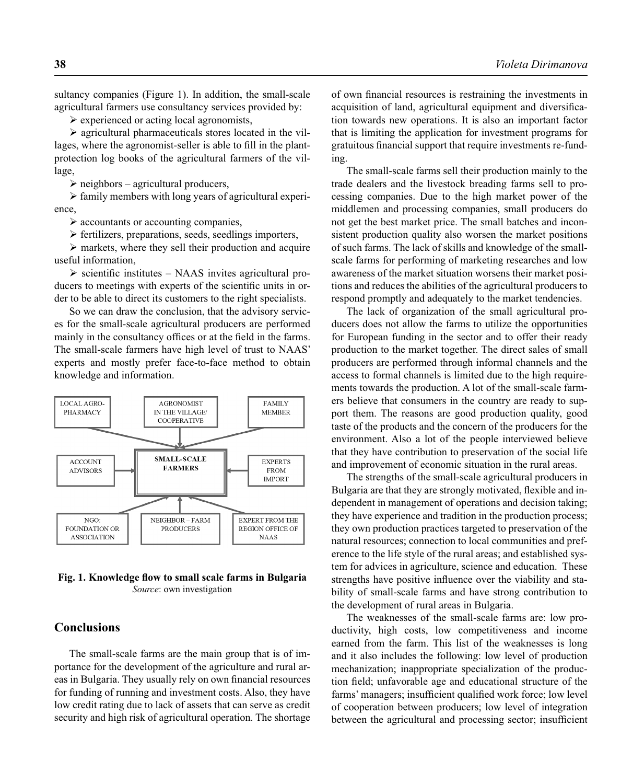sultancy companies (Figure 1). In addition, the small-scale agricultural farmers use consultancy services provided by:

 $\blacktriangleright$  experienced or acting local agronomists,

 $\triangleright$  agricultural pharmaceuticals stores located in the villages, where the agronomist-seller is able to fill in the plantprotection log books of the agricultural farmers of the village,

 $\triangleright$  neighbors – agricultural producers,

- family members with long years of agricultural experience,

- accountants or accounting companies,

- fertilizers, preparations, seeds, seedlings importers,

 $\triangleright$  markets, where they sell their production and acquire useful information,

> scientific institutes - NAAS invites agricultural producers to meetings with experts of the scientific units in order to be able to direct its customers to the right specialists.

So we can draw the conclusion, that the advisory services for the small-scale agricultural producers are performed mainly in the consultancy offices or at the field in the farms. The small-scale farmers have high level of trust to NAAS' experts and mostly prefer face-to-face method to obtain knowledge and information.



Fig. 1. Knowledge flow to small scale farms in Bulgaria *Source*: own investigation

#### **Conclusions**

The small-scale farms are the main group that is of importance for the development of the agriculture and rural areas in Bulgaria. They usually rely on own financial resources for funding of running and investment costs. Also, they have low credit rating due to lack of assets that can serve as credit security and high risk of agricultural operation. The shortage of own financial resources is restraining the investments in acquisition of land, agricultural equipment and diversification towards new operations. It is also an important factor that is limiting the application for investment programs for gratuitous financial support that require investments re-funding.

The small-scale farms sell their production mainly to the trade dealers and the livestock breading farms sell to processing companies. Due to the high market power of the middlemen and processing companies, small producers do not get the best market price. The small batches and inconsistent production quality also worsen the market positions of such farms. The lack of skills and knowledge of the smallscale farms for performing of marketing researches and low awareness of the market situation worsens their market positions and reduces the abilities of the agricultural producers to respond promptly and adequately to the market tendencies.

The lack of organization of the small agricultural producers does not allow the farms to utilize the opportunities for European funding in the sector and to offer their ready production to the market together. The direct sales of small producers are performed through informal channels and the access to formal channels is limited due to the high requirements towards the production. A lot of the small-scale farmers believe that consumers in the country are ready to support them. The reasons are good production quality, good taste of the products and the concern of the producers for the environment. Also a lot of the people interviewed believe that they have contribution to preservation of the social life and improvement of economic situation in the rural areas.

The strengths of the small-scale agricultural producers in Bulgaria are that they are strongly motivated, flexible and independent in management of operations and decision taking; they have experience and tradition in the production process; they own production practices targeted to preservation of the natural resources; connection to local communities and preference to the life style of the rural areas; and established system for advices in agriculture, science and education. These strengths have positive influence over the viability and stability of small-scale farms and have strong contribution to the development of rural areas in Bulgaria.

The weaknesses of the small-scale farms are: low productivity, high costs, low competitiveness and income earned from the farm. This list of the weaknesses is long and it also includes the following: low level of production mechanization; inappropriate specialization of the production field; unfavorable age and educational structure of the farms' managers; insufficient qualified work force; low level of cooperation between producers; low level of integration between the agricultural and processing sector; insufficient